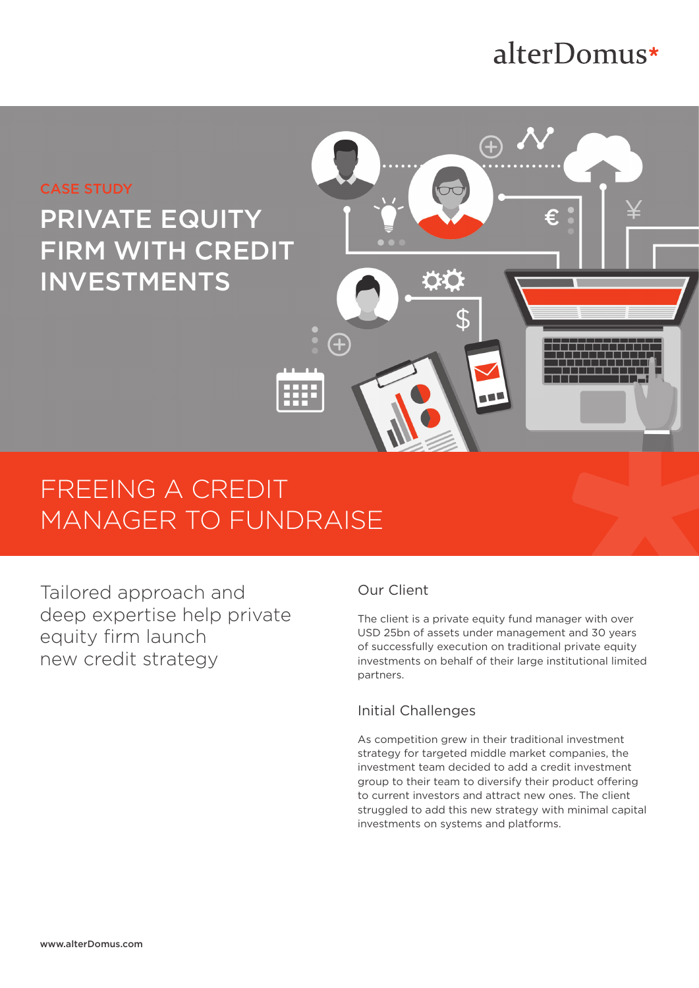# alterDomus\*



# FREEING A CREDIT MANAGER TO FUNDRAISE

Tailored approach and deep expertise help private equity firm launch new credit strategy

## Our Client

The client is a private equity fund manager with over USD 25bn of assets under management and 30 years of successfully execution on traditional private equity investments on behalf of their large institutional limited partners.

## Initial Challenges

As competition grew in their traditional investment strategy for targeted middle market companies, the investment team decided to add a credit investment group to their team to diversify their product offering to current investors and attract new ones. The client struggled to add this new strategy with minimal capital investments on systems and platforms.